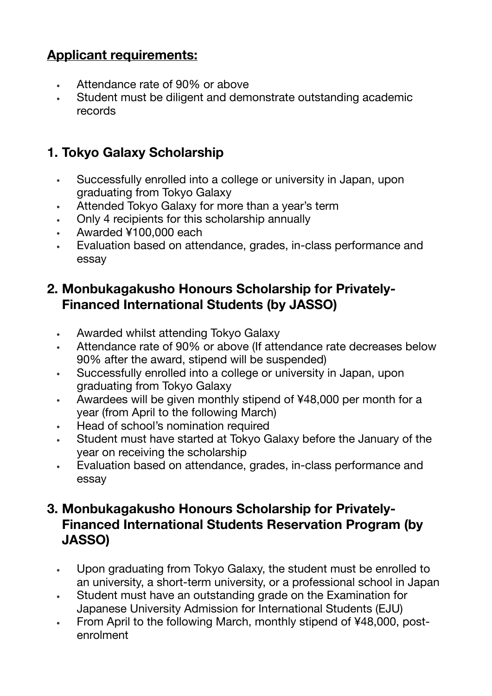# **Applicant requirements:**

- Attendance rate of 90% or above
- Student must be diligent and demonstrate outstanding academic records

## **1. Tokyo Galaxy Scholarship**

- Successfully enrolled into a college or university in Japan, upon graduating from Tokyo Galaxy
- Attended Tokyo Galaxy for more than a year's term
- Only 4 recipients for this scholarship annually
- Awarded ¥100,000 each
- Evaluation based on attendance, grades, in-class performance and essay

### **2. Monbukagakusho Honours Scholarship for Privately-Financed International Students (by JASSO)**

- Awarded whilst attending Tokyo Galaxy
- Attendance rate of 90% or above (If attendance rate decreases below 90% after the award, stipend will be suspended)
- Successfully enrolled into a college or university in Japan, upon graduating from Tokyo Galaxy
- Awardees will be given monthly stipend of ¥48,000 per month for a year (from April to the following March)
- Head of school's nomination required
- Student must have started at Tokyo Galaxy before the January of the year on receiving the scholarship
- Evaluation based on attendance, grades, in-class performance and essay

#### **3. Monbukagakusho Honours Scholarship for Privately-Financed International Students Reservation Program (by JASSO)**

- Upon graduating from Tokyo Galaxy, the student must be enrolled to an university, a short-term university, or a professional school in Japan
- Student must have an outstanding grade on the Examination for Japanese University Admission for International Students (EJU)
- From April to the following March, monthly stipend of ¥48,000, postenrolment